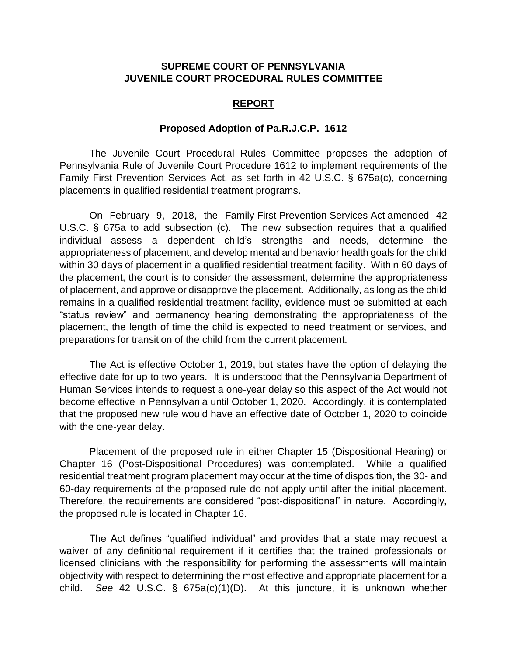## **SUPREME COURT OF PENNSYLVANIA JUVENILE COURT PROCEDURAL RULES COMMITTEE**

## **REPORT**

## **Proposed Adoption of Pa.R.J.C.P. 1612**

The Juvenile Court Procedural Rules Committee proposes the adoption of Pennsylvania Rule of Juvenile Court Procedure 1612 to implement requirements of the Family First Prevention Services Act, as set forth in 42 U.S.C. § 675a(c), concerning placements in qualified residential treatment programs.

On February 9, 2018, the Family First Prevention Services Act amended 42 U.S.C. § 675a to add subsection (c). The new subsection requires that a qualified individual assess a dependent child's strengths and needs, determine the appropriateness of placement, and develop mental and behavior health goals for the child within 30 days of placement in a qualified residential treatment facility. Within 60 days of the placement, the court is to consider the assessment, determine the appropriateness of placement, and approve or disapprove the placement. Additionally, as long as the child remains in a qualified residential treatment facility, evidence must be submitted at each "status review" and permanency hearing demonstrating the appropriateness of the placement, the length of time the child is expected to need treatment or services, and preparations for transition of the child from the current placement.

The Act is effective October 1, 2019, but states have the option of delaying the effective date for up to two years. It is understood that the Pennsylvania Department of Human Services intends to request a one-year delay so this aspect of the Act would not become effective in Pennsylvania until October 1, 2020. Accordingly, it is contemplated that the proposed new rule would have an effective date of October 1, 2020 to coincide with the one-year delay.

Placement of the proposed rule in either Chapter 15 (Dispositional Hearing) or Chapter 16 (Post-Dispositional Procedures) was contemplated. While a qualified residential treatment program placement may occur at the time of disposition, the 30- and 60-day requirements of the proposed rule do not apply until after the initial placement. Therefore, the requirements are considered "post-dispositional" in nature. Accordingly, the proposed rule is located in Chapter 16.

The Act defines "qualified individual" and provides that a state may request a waiver of any definitional requirement if it certifies that the trained professionals or licensed clinicians with the responsibility for performing the assessments will maintain objectivity with respect to determining the most effective and appropriate placement for a child. *See* 42 U.S.C. § 675a(c)(1)(D). At this juncture, it is unknown whether